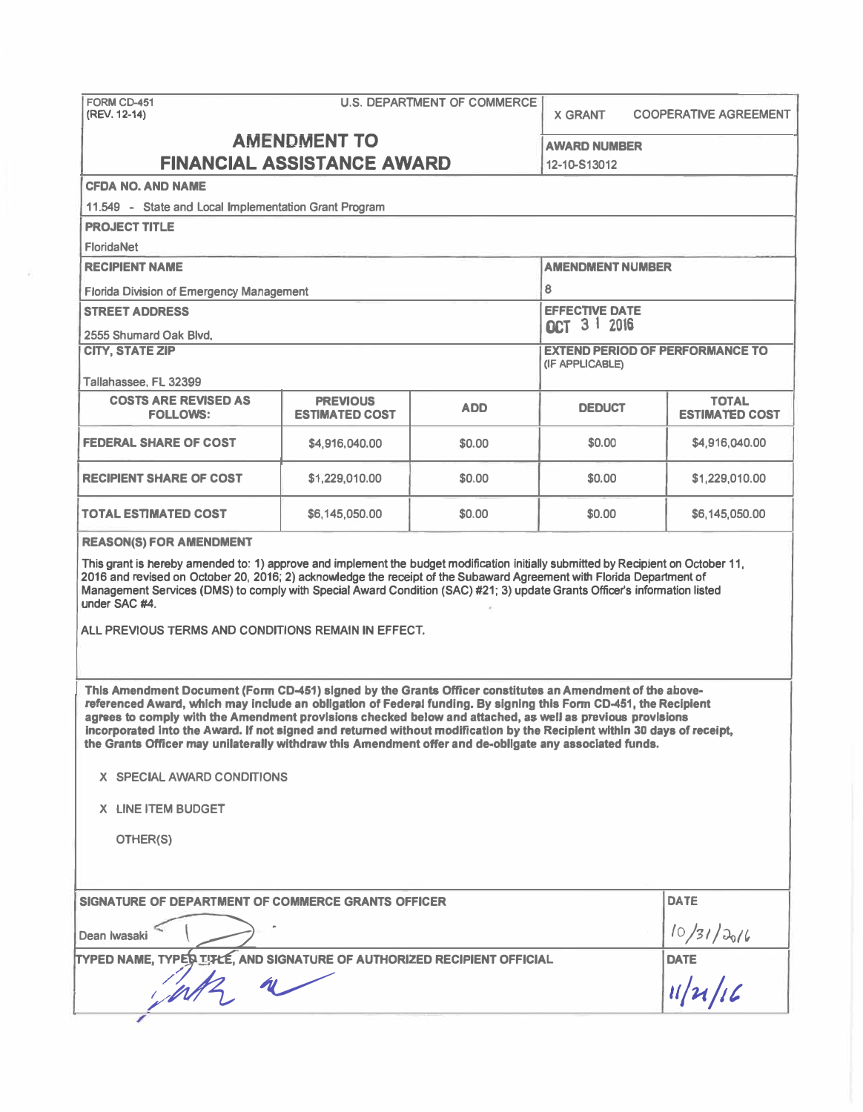| FORM CD-451<br>(REV. 12-14)                                                                                                                                                                                                                                                                                                                                                                                                                                                                                                                                                       | <b>U.S. DEPARTMENT OF COMMERCE</b> |            |                                                           | <b>X GRANT</b><br><b>COOPERATIVE AGREEMENT</b> |  |  |  |
|-----------------------------------------------------------------------------------------------------------------------------------------------------------------------------------------------------------------------------------------------------------------------------------------------------------------------------------------------------------------------------------------------------------------------------------------------------------------------------------------------------------------------------------------------------------------------------------|------------------------------------|------------|-----------------------------------------------------------|------------------------------------------------|--|--|--|
| <b>AMENDMENT TO</b><br><b>FINANCIAL ASSISTANCE AWARD</b>                                                                                                                                                                                                                                                                                                                                                                                                                                                                                                                          |                                    |            | <b>AWARD NUMBER</b><br>12-10-S13012                       |                                                |  |  |  |
| <b>CFDA NO. AND NAME</b>                                                                                                                                                                                                                                                                                                                                                                                                                                                                                                                                                          |                                    |            |                                                           |                                                |  |  |  |
| 11.549 - State and Local Implementation Grant Program                                                                                                                                                                                                                                                                                                                                                                                                                                                                                                                             |                                    |            |                                                           |                                                |  |  |  |
| <b>PROJECT TITLE</b>                                                                                                                                                                                                                                                                                                                                                                                                                                                                                                                                                              |                                    |            |                                                           |                                                |  |  |  |
| <b>FloridaNet</b>                                                                                                                                                                                                                                                                                                                                                                                                                                                                                                                                                                 |                                    |            |                                                           |                                                |  |  |  |
| <b>RECIPIENT NAME</b>                                                                                                                                                                                                                                                                                                                                                                                                                                                                                                                                                             |                                    |            | <b>AMENDMENT NUMBER</b>                                   |                                                |  |  |  |
| <b>Florida Division of Emergency Management</b>                                                                                                                                                                                                                                                                                                                                                                                                                                                                                                                                   |                                    |            | 8                                                         |                                                |  |  |  |
| <b>STREET ADDRESS</b>                                                                                                                                                                                                                                                                                                                                                                                                                                                                                                                                                             |                                    |            | <b>EFFECTIVE DATE</b>                                     |                                                |  |  |  |
| 2555 Shumard Oak Blvd.                                                                                                                                                                                                                                                                                                                                                                                                                                                                                                                                                            |                                    |            | <b>ACT 3 1 2016</b>                                       |                                                |  |  |  |
| <b>CITY, STATE ZIP</b>                                                                                                                                                                                                                                                                                                                                                                                                                                                                                                                                                            |                                    |            | <b>EXTEND PERIOD OF PERFORMANCE TO</b><br>(IF APPLICABLE) |                                                |  |  |  |
| Tallahassee. FL 32399<br><b>COSTS ARE REVISED AS</b>                                                                                                                                                                                                                                                                                                                                                                                                                                                                                                                              | <b>PREVIOUS</b>                    |            |                                                           | <b>TOTAL</b>                                   |  |  |  |
| <b>FOLLOWS:</b>                                                                                                                                                                                                                                                                                                                                                                                                                                                                                                                                                                   | <b>ESTIMATED COST</b>              | <b>ADD</b> | <b>DEDUCT</b>                                             | <b>ESTIMATED COST</b>                          |  |  |  |
| <b>FEDERAL SHARE OF COST</b>                                                                                                                                                                                                                                                                                                                                                                                                                                                                                                                                                      | \$4,916,040.00                     | \$0.00     | \$0.00                                                    | \$4,916,040.00                                 |  |  |  |
| <b>RECIPIENT SHARE OF COST</b>                                                                                                                                                                                                                                                                                                                                                                                                                                                                                                                                                    | \$1,229,010.00<br>\$0.00<br>\$0.00 |            |                                                           |                                                |  |  |  |
| <b>TOTAL ESTIMATED COST</b>                                                                                                                                                                                                                                                                                                                                                                                                                                                                                                                                                       | \$6,145,050.00                     |            |                                                           |                                                |  |  |  |
| <b>REASON(S) FOR AMENDMENT</b>                                                                                                                                                                                                                                                                                                                                                                                                                                                                                                                                                    |                                    |            |                                                           |                                                |  |  |  |
| This grant is hereby amended to: 1) approve and implement the budget modification initially submitted by Recipient on October 11,<br>2016 and revised on October 20, 2016; 2) acknowledge the receipt of the Subaward Agreement with Florida Department of<br>Management Services (DMS) to comply with Special Award Condition (SAC) #21; 3) update Grants Officer's information listed<br>under SAC #4.                                                                                                                                                                          |                                    |            |                                                           |                                                |  |  |  |
| ALL PREVIOUS TERMS AND CONDITIONS REMAIN IN EFFECT.                                                                                                                                                                                                                                                                                                                                                                                                                                                                                                                               |                                    |            |                                                           |                                                |  |  |  |
| This Amendment Document (Form CD-451) signed by the Grants Officer constitutes an Amendment of the above-<br>referenced Award, which may include an obligation of Federal funding. By signing this Form CD-451, the Recipient<br>agrees to comply with the Amendment provisions checked below and attached, as well as previous provisions<br>incorporated into the Award. If not signed and returned without modification by the Recipient within 30 days of receipt,<br>the Grants Officer may unilaterally withdraw this Amendment offer and de-obligate any associated funds. |                                    |            |                                                           |                                                |  |  |  |
| X SPECIAL AWARD CONDITIONS                                                                                                                                                                                                                                                                                                                                                                                                                                                                                                                                                        |                                    |            |                                                           |                                                |  |  |  |
| X LINE ITEM BUDGET                                                                                                                                                                                                                                                                                                                                                                                                                                                                                                                                                                |                                    |            |                                                           |                                                |  |  |  |
| OTHER(S)                                                                                                                                                                                                                                                                                                                                                                                                                                                                                                                                                                          |                                    |            |                                                           |                                                |  |  |  |
| SIGNATURE OF DEPARTMENT OF COMMERCE GRANTS OFFICER                                                                                                                                                                                                                                                                                                                                                                                                                                                                                                                                |                                    |            |                                                           | <b>DATE</b>                                    |  |  |  |
| Dean Iwasaki                                                                                                                                                                                                                                                                                                                                                                                                                                                                                                                                                                      |                                    |            |                                                           |                                                |  |  |  |
| TYPED NAME, TYPES IT LE AND SIGNATURE OF AUTHORIZED RECIPIENT OFFICIAL                                                                                                                                                                                                                                                                                                                                                                                                                                                                                                            |                                    |            |                                                           |                                                |  |  |  |
|                                                                                                                                                                                                                                                                                                                                                                                                                                                                                                                                                                                   |                                    |            |                                                           | $\frac{10/31/30/6}{\text{DATE}}$               |  |  |  |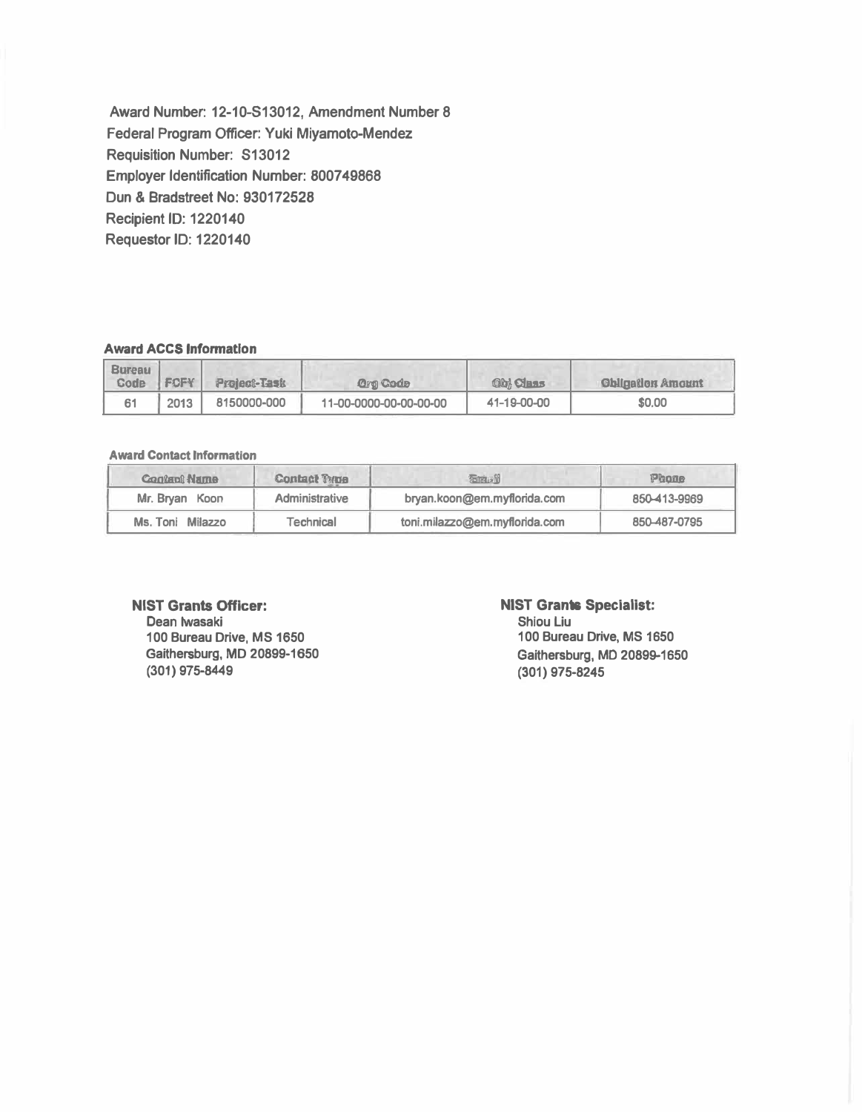**Award Number: 12-10-S13012, Amendment Number 8 Federal Program Officer: Yuki Miyamoto-Mendez Requisition Number: S13012 Employer Identification Number: 800749868 Dun & Bradstreet No: 930172528 Recipient ID: 1220140 Requestor ID: 1220140** 

### **Award ACCS Information**

| <b>Bureau</b><br>Code | <b>FOFY</b> | <b>Project-Task</b> | Gro Code               | <b>Obl Class</b> | <b>Chination Amount</b> |
|-----------------------|-------------|---------------------|------------------------|------------------|-------------------------|
|                       | 2013        | 8150000-000         | 11-00-0000-00-00-00-00 | 41-19-00-00      | \$0.00                  |

#### **Award Contact Information**

| <b>Contant Name</b> | <b>Contact Type</b>   | 石油动计                          | Phone        |  |
|---------------------|-----------------------|-------------------------------|--------------|--|
| Mr. Bryan Koon      | <b>Administrative</b> | bryan.koon@em.myflorida.com   | 850-413-9969 |  |
| Ms. Toni Milazzo    | Technical             | toni.milazzo@em.myflorida.com | 850-487-0795 |  |

#### **NIST Grants Officer:**

**Dean Iwasaki 100 Bureau Drive, MS 1650 Gaithersburg, MD 20899-1650 (301) 975-8449**

### **NIST Grants Specialist:**

**Shlou Liu 100 Bureau Drive, MS 1650 Gaithersburg, MD 20899-1650 (301) 975-8245**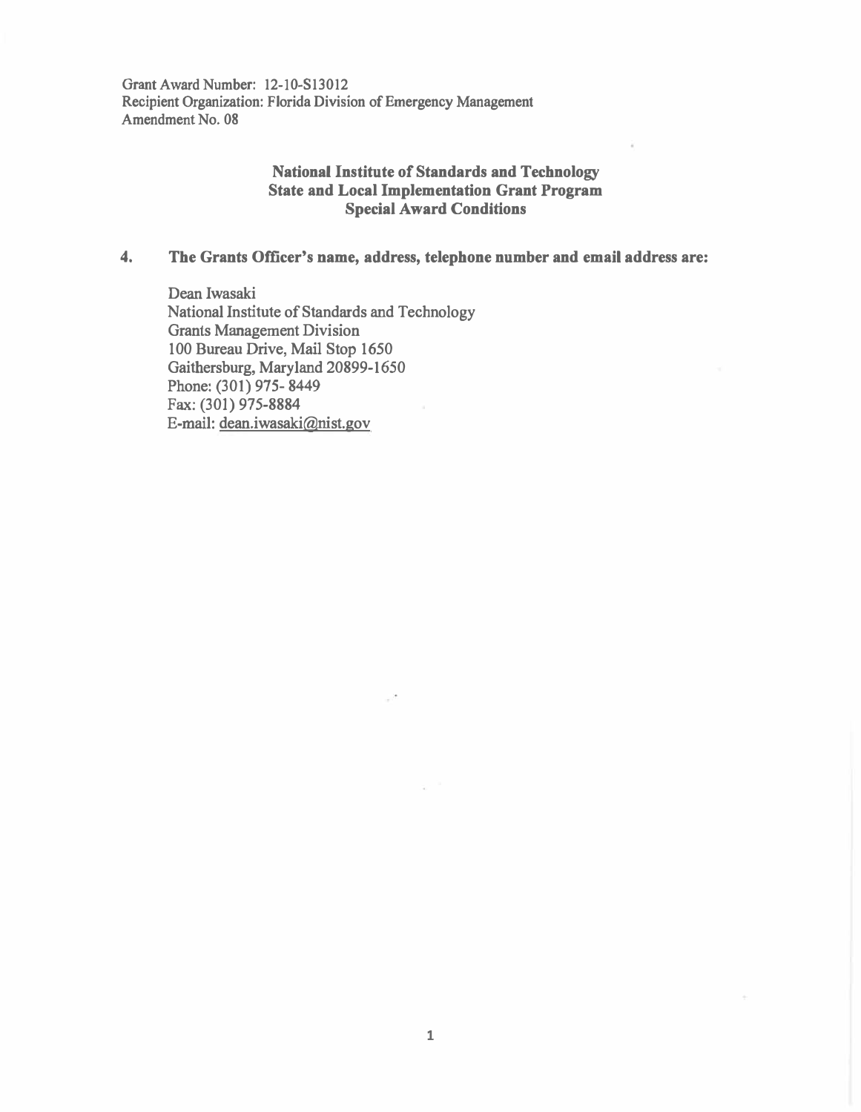**Grant Award Number: 12-10-SI3012 Recipient Organization: Florida Division of Emergency Management Amendment No. 08** 

## **National Institute of Standards and Technology State and Local Implementation Grant Program Special Award Conditions**

## **4. The Grants Officer's name, address, telephone number and email address are:**

**Dean Iwasaki National Institute of Standards and Technology Grants Management Division 100 Bureau Drive, Mail Stop 1650 Gaithersburg, Maryland 20899-1650 Phone: (301) 975- 8449 Fax: (301) 975-8884 E-mail: dean.iwasaki@nist.gov**

 $\mathcal{C}^{\mathcal{A}}$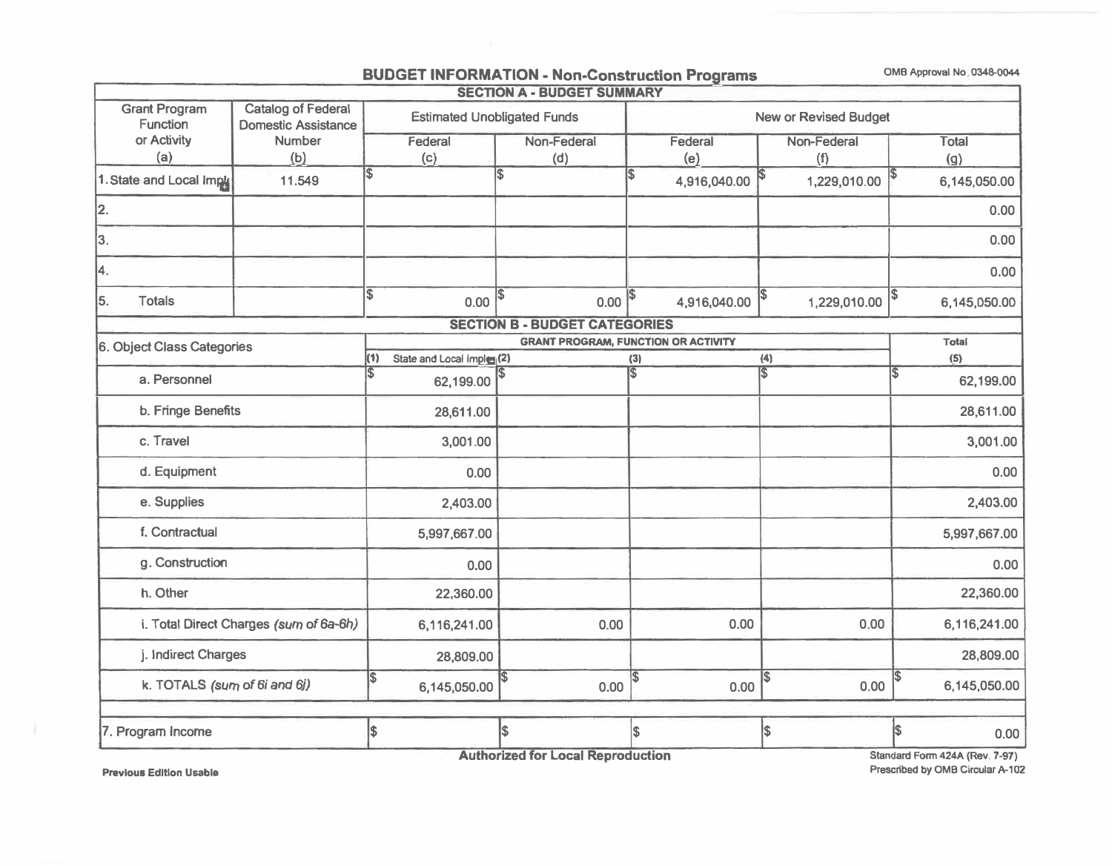# **BUDGET INFORMATION - Non-Construction Programs OMB Approval No. 0348-0044**

| <b>SECTION A - BUDGET SUMMARY</b>       |                                                         |                                           |                                      |                                            |                         |                                      |  |  |
|-----------------------------------------|---------------------------------------------------------|-------------------------------------------|--------------------------------------|--------------------------------------------|-------------------------|--------------------------------------|--|--|
| <b>Grant Program</b><br><b>Function</b> | <b>Catalog of Federal</b><br><b>Domestic Assistance</b> |                                           | <b>Estimated Unobligated Funds</b>   | <b>New or Revised Budget</b>               |                         |                                      |  |  |
| or Activity                             | <b>Number</b>                                           | Federal                                   | Non-Federal                          | Federal                                    | Non-Federal             | Total                                |  |  |
| (a)                                     | (b)                                                     | (c)                                       | (d)                                  | (e)                                        | (f)                     | (g)                                  |  |  |
| 1. State and Local Imple                | 11.549                                                  | \$                                        | $\overline{\$}$                      | 4,916,040.00                               | 1,229,010.00            | 6,145,050.00                         |  |  |
| 12.                                     |                                                         |                                           |                                      |                                            |                         | 0.00                                 |  |  |
| 3.                                      |                                                         |                                           |                                      |                                            |                         | 0.00                                 |  |  |
| 4.                                      |                                                         |                                           |                                      |                                            |                         | 0.00                                 |  |  |
| 5.<br><b>Totals</b>                     |                                                         | $\overline{\mathbb{S}}$<br>0.00           | $0.00$ $ $ \$<br>1\$                 | 4,916,040.00                               | 1,229,010.00            | 6,145,050.00                         |  |  |
|                                         |                                                         |                                           | <b>SECTION B - BUDGET CATEGORIES</b> |                                            |                         |                                      |  |  |
| 6. Object Class Categories              |                                                         |                                           |                                      | <b>GRANT PROGRAM, FUNCTION OR ACTIVITY</b> |                         | <b>Total</b>                         |  |  |
|                                         |                                                         | (1)<br>State and Local Imples (2)         |                                      | (3)                                        | (4)                     | (5)                                  |  |  |
| a. Personnel                            |                                                         | <b>S</b><br>62,199.00                     |                                      | l\$                                        | $\overline{\mathbb{s}}$ | $\overline{\mathbb{S}}$<br>62,199.00 |  |  |
| b. Fringe Benefits                      |                                                         | 28,611.00                                 |                                      |                                            |                         | 28,611.00                            |  |  |
| c. Travel                               |                                                         | 3,001.00                                  |                                      |                                            |                         | 3,001.00                             |  |  |
| d. Equipment                            |                                                         | 0.00                                      |                                      |                                            |                         | 0.00                                 |  |  |
| e. Supplies                             |                                                         | 2,403.00                                  |                                      |                                            |                         | 2,403.00                             |  |  |
| f. Contractual                          |                                                         | 5,997,667.00                              |                                      |                                            |                         | 5,997,667.00                         |  |  |
| g. Construction                         |                                                         | 0.00                                      |                                      |                                            |                         | 0.00                                 |  |  |
| h. Other                                |                                                         | 22,360.00                                 |                                      |                                            |                         | 22,360.00                            |  |  |
|                                         | i. Total Direct Charges (sum of 6a-6h)                  | 6,116,241.00                              | 0.00                                 | 0.00                                       | 0.00                    | 6,116,241.00                         |  |  |
| j. Indirect Charges                     |                                                         | 28,809.00                                 |                                      |                                            |                         | 28,809.00                            |  |  |
| k. TOTALS (sum of 6i and 6j)            |                                                         | $\boldsymbol{\mathsf{s}}$<br>6,145,050.00 | \$<br>0.00                           | 1\$<br>0.00                                | \$<br>0.00              | \$<br>6,145,050.00                   |  |  |
|                                         |                                                         |                                           |                                      |                                            |                         |                                      |  |  |
| 7. Program Income                       |                                                         | \$                                        | \$                                   | \$                                         | \$                      | \$<br>0.00                           |  |  |
|                                         |                                                         | 0.141                                     | a m                                  |                                            |                         |                                      |  |  |

**Authorized for Local Reproduction** 

**Previous Edition Usable** 

F

**Standard Fonn 424A (Rev. 7-97) Prescribed by 0MB Circular A-102**